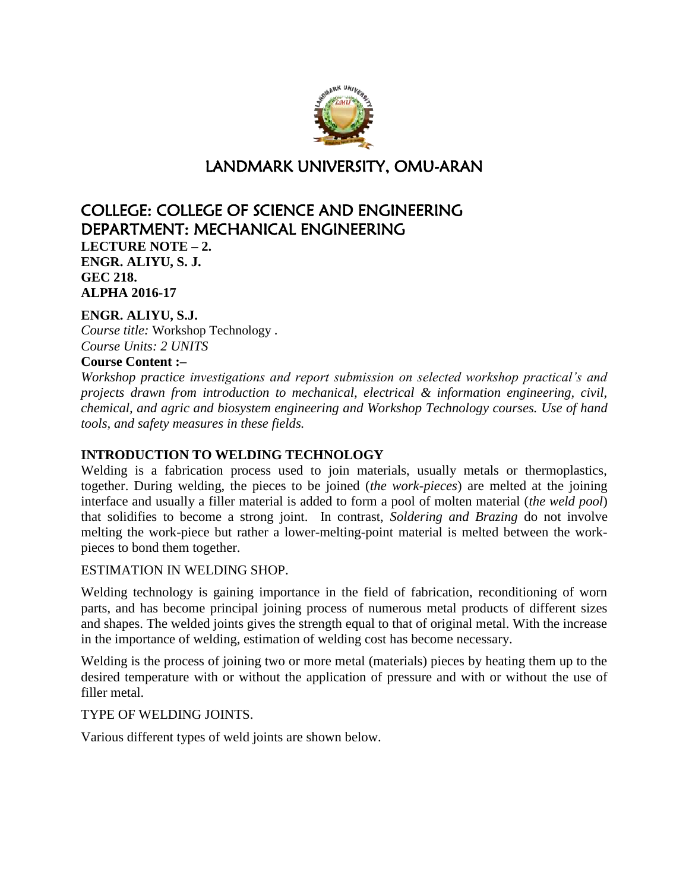

# LANDMARK UNIVERSITY, OMU-ARAN

# COLLEGE: COLLEGE OF SCIENCE AND ENGINEERING DEPARTMENT: MECHANICAL ENGINEERING **LECTURE NOTE – 2. ENGR. ALIYU, S. J. GEC 218. ALPHA 2016-17**

# **ENGR. ALIYU, S.J.**

*Course title:* Workshop Technology . *Course Units: 2 UNITS*

#### **Course Content :–**

*Workshop practice investigations and report submission on selected workshop practical's and projects drawn from introduction to mechanical, electrical & information engineering, civil, chemical, and agric and biosystem engineering and Workshop Technology courses. Use of hand tools, and safety measures in these fields.*

## **INTRODUCTION TO WELDING TECHNOLOGY**

Welding is a fabrication process used to join materials, usually metals or thermoplastics, together. During welding, the pieces to be joined (*the work-pieces*) are melted at the joining interface and usually a filler material is added to form a pool of molten material (*the weld pool*) that solidifies to become a strong joint. In contrast, *Soldering and Brazing* do not involve melting the work-piece but rather a lower-melting-point material is melted between the workpieces to bond them together.

#### ESTIMATION IN WELDING SHOP.

Welding technology is gaining importance in the field of fabrication, reconditioning of worn parts, and has become principal joining process of numerous metal products of different sizes and shapes. The welded joints gives the strength equal to that of original metal. With the increase in the importance of welding, estimation of welding cost has become necessary.

Welding is the process of joining two or more metal (materials) pieces by heating them up to the desired temperature with or without the application of pressure and with or without the use of filler metal.

TYPE OF WELDING JOINTS.

Various different types of weld joints are shown below.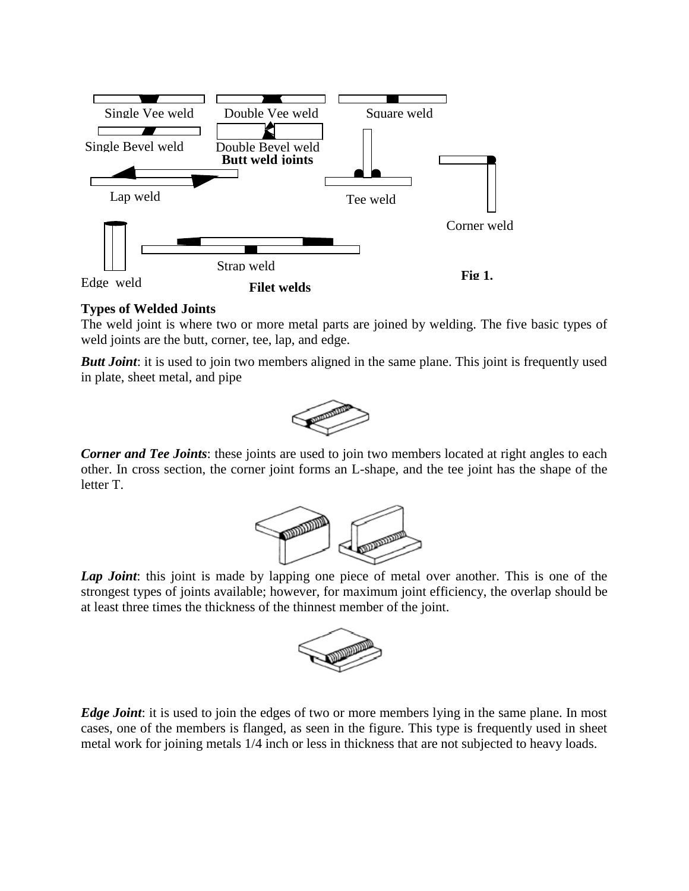

#### **Types of Welded Joints**

The weld joint is where two or more metal parts are joined by welding. The five basic types of weld joints are the butt, corner, tee, lap, and edge.

*Butt Joint*: it is used to join two members aligned in the same plane. This joint is frequently used in plate, sheet metal, and pipe



*Corner and Tee Joints*: these joints are used to join two members located at right angles to each other. In cross section, the corner joint forms an L-shape, and the tee joint has the shape of the letter T.



Lap Joint: this joint is made by lapping one piece of metal over another. This is one of the strongest types of joints available; however, for maximum joint efficiency, the overlap should be at least three times the thickness of the thinnest member of the joint.



*Edge Joint*: it is used to join the edges of two or more members lying in the same plane. In most cases, one of the members is flanged, as seen in the figure. This type is frequently used in sheet metal work for joining metals 1/4 inch or less in thickness that are not subjected to heavy loads.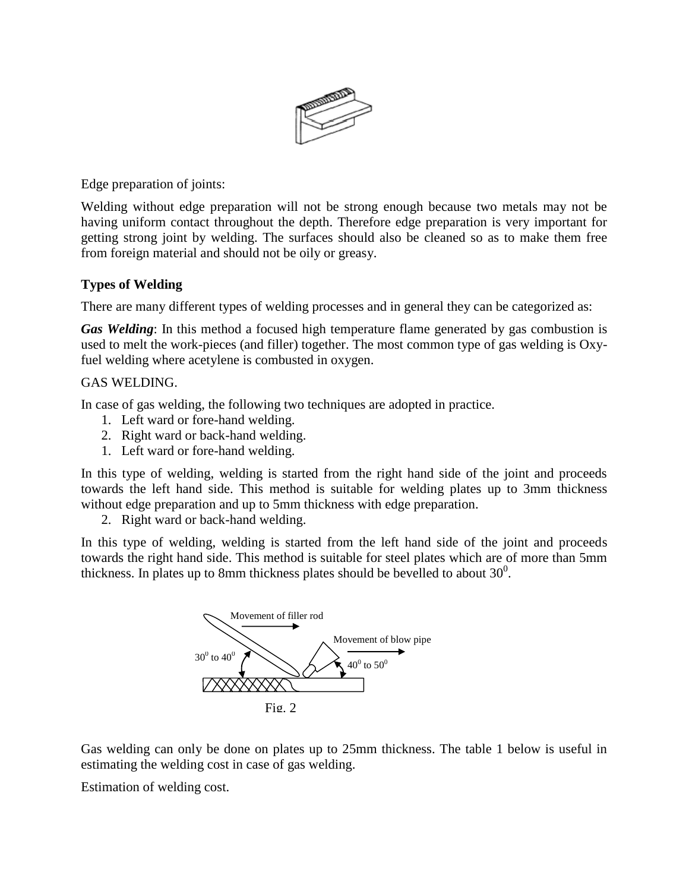

Edge preparation of joints:

Welding without edge preparation will not be strong enough because two metals may not be having uniform contact throughout the depth. Therefore edge preparation is very important for getting strong joint by welding. The surfaces should also be cleaned so as to make them free from foreign material and should not be oily or greasy.

## **Types of Welding**

There are many different types of welding processes and in general they can be categorized as:

*Gas Welding*: In this method a focused high temperature flame generated by gas combustion is used to melt the work-pieces (and filler) together. The most common type of gas welding is Oxyfuel welding where acetylene is combusted in oxygen.

## GAS WELDING.

In case of gas welding, the following two techniques are adopted in practice.

- 1. Left ward or fore-hand welding.
- 2. Right ward or back-hand welding.
- 1. Left ward or fore-hand welding.

In this type of welding, welding is started from the right hand side of the joint and proceeds towards the left hand side. This method is suitable for welding plates up to 3mm thickness without edge preparation and up to 5mm thickness with edge preparation.

2. Right ward or back-hand welding.

In this type of welding, welding is started from the left hand side of the joint and proceeds towards the right hand side. This method is suitable for steel plates which are of more than 5mm thickness. In plates up to 8mm thickness plates should be bevelled to about  $30^0$ .



Gas welding can only be done on plates up to 25mm thickness. The table 1 below is useful in estimating the welding cost in case of gas welding.

Estimation of welding cost.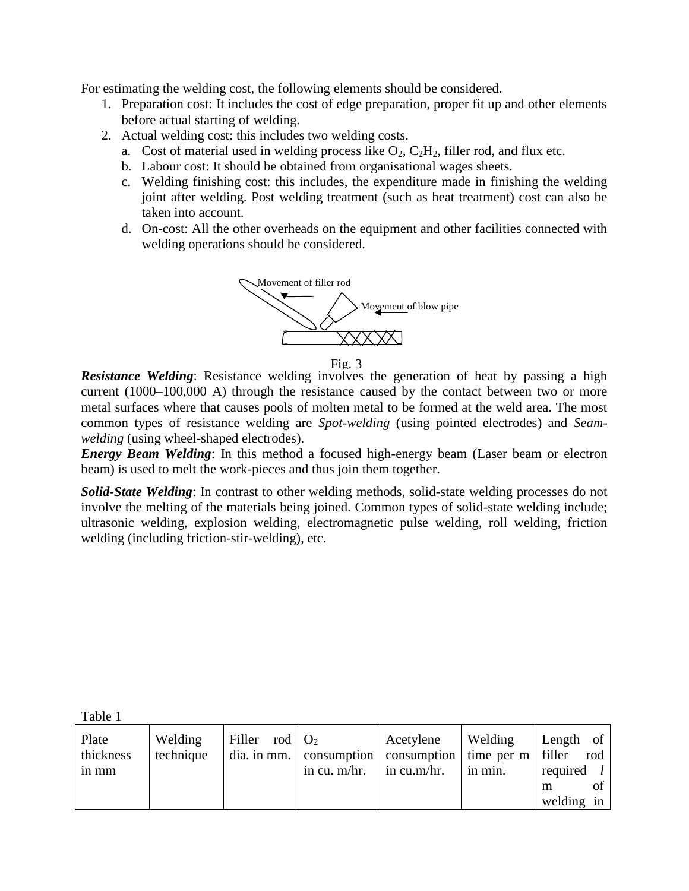For estimating the welding cost, the following elements should be considered.

- 1. Preparation cost: It includes the cost of edge preparation, proper fit up and other elements before actual starting of welding.
- 2. Actual welding cost: this includes two welding costs.
	- a. Cost of material used in welding process like  $O_2$ ,  $C_2H_2$ , filler rod, and flux etc.
	- b. Labour cost: It should be obtained from organisational wages sheets.
	- c. Welding finishing cost: this includes, the expenditure made in finishing the welding joint after welding. Post welding treatment (such as heat treatment) cost can also be taken into account.
	- d. On-cost: All the other overheads on the equipment and other facilities connected with welding operations should be considered.



Fig. 3

*Resistance Welding*: Resistance welding involves the generation of heat by passing a high current (1000–100,000 A) through the resistance caused by the contact between two or more metal surfaces where that causes pools of molten metal to be formed at the weld area. The most common types of resistance welding are *Spot-welding* (using pointed electrodes) and *Seamwelding* (using wheel-shaped electrodes).

*Energy Beam Welding*: In this method a focused high-energy beam (Laser beam or electron beam) is used to melt the work-pieces and thus join them together.

*Solid-State Welding*: In contrast to other welding methods, solid-state welding processes do not involve the melting of the materials being joined. Common types of solid-state welding include; ultrasonic welding, explosion welding, electromagnetic pulse welding, roll welding, friction welding (including friction-stir-welding), etc.

Table 1

| Plate<br>thickness<br>in mm | Welding<br>technique | Filler rod $\vert$ O <sub>2</sub> | dia. in mm. $\vert$ consumption $\vert$ consumption $\vert$ time per m $\vert$ filler<br>in cu. $m/hr$ . | Acetylene<br>$\sin$ cu.m/hr. | Welding<br>in min. | Length of<br>required $l$ | rod             |
|-----------------------------|----------------------|-----------------------------------|----------------------------------------------------------------------------------------------------------|------------------------------|--------------------|---------------------------|-----------------|
|                             |                      |                                   |                                                                                                          |                              |                    | m<br>welding in           | of <sup>1</sup> |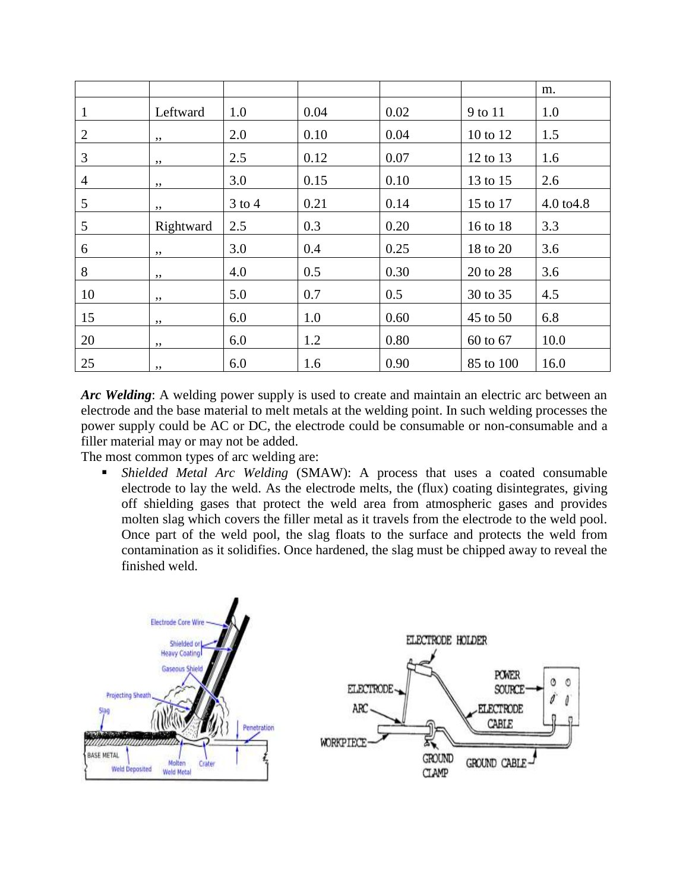|                |           |            |      |      |           | m.         |
|----------------|-----------|------------|------|------|-----------|------------|
| 1              | Leftward  | 1.0        | 0.04 | 0.02 | 9 to 11   | 1.0        |
| $\overline{2}$ | ,,        | 2.0        | 0.10 | 0.04 | 10 to 12  | 1.5        |
| 3              | ,,        | 2.5        | 0.12 | 0.07 | 12 to 13  | 1.6        |
| 4              | ,,        | 3.0        | 0.15 | 0.10 | 13 to 15  | 2.6        |
| 5              | ,,        | $3$ to $4$ | 0.21 | 0.14 | 15 to 17  | 4.0 to 4.8 |
| 5              | Rightward | 2.5        | 0.3  | 0.20 | 16 to 18  | 3.3        |
| 6              | ,,        | 3.0        | 0.4  | 0.25 | 18 to 20  | 3.6        |
| 8              | ,,        | 4.0        | 0.5  | 0.30 | 20 to 28  | 3.6        |
| 10             | ,,        | 5.0        | 0.7  | 0.5  | 30 to 35  | 4.5        |
| 15             | , ,       | 6.0        | 1.0  | 0.60 | 45 to 50  | 6.8        |
| 20             | ,,        | 6.0        | 1.2  | 0.80 | 60 to 67  | 10.0       |
| 25             | ,,        | 6.0        | 1.6  | 0.90 | 85 to 100 | 16.0       |

Arc Welding: A welding power supply is used to create and maintain an electric arc between an electrode and the base material to melt metals at the welding point. In such welding processes the power supply could be AC or DC, the electrode could be consumable or non-consumable and a filler material may or may not be added.

The most common types of arc welding are:

 *Shielded Metal Arc Welding* (SMAW): A process that uses a coated consumable electrode to lay the weld. As the electrode melts, the (flux) coating disintegrates, giving off shielding gases that protect the weld area from atmospheric gases and provides molten slag which covers the filler metal as it travels from the electrode to the weld pool. Once part of the weld pool, the slag floats to the surface and protects the weld from contamination as it solidifies. Once hardened, the slag must be chipped away to reveal the finished weld.

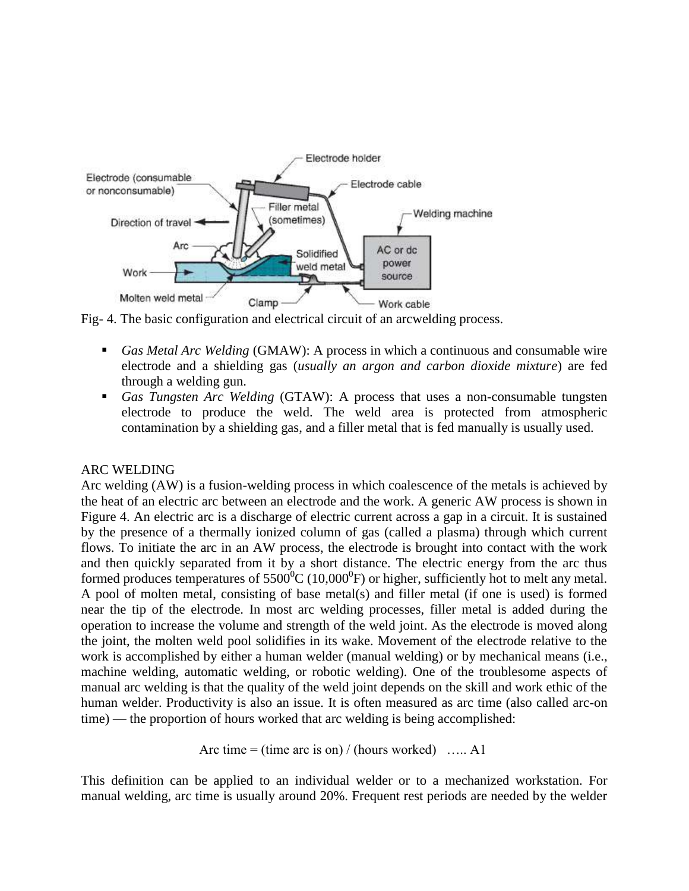

Fig- 4. The basic configuration and electrical circuit of an arcwelding process.

- *Gas Metal Arc Welding* (GMAW): A process in which a continuous and consumable wire electrode and a shielding gas (*usually an argon and carbon dioxide mixture*) are fed through a welding gun.
- *Gas Tungsten Arc Welding* (GTAW): A process that uses a non-consumable tungsten electrode to produce the weld. The weld area is protected from atmospheric contamination by a shielding gas, and a filler metal that is fed manually is usually used.

#### ARC WELDING

Arc welding (AW) is a fusion-welding process in which coalescence of the metals is achieved by the heat of an electric arc between an electrode and the work. A generic AW process is shown in Figure 4. An electric arc is a discharge of electric current across a gap in a circuit. It is sustained by the presence of a thermally ionized column of gas (called a plasma) through which current flows. To initiate the arc in an AW process, the electrode is brought into contact with the work and then quickly separated from it by a short distance. The electric energy from the arc thus formed produces temperatures of  $5500^{\circ}$ C (10,000 $^{\circ}$ F) or higher, sufficiently hot to melt any metal. A pool of molten metal, consisting of base metal(s) and filler metal (if one is used) is formed near the tip of the electrode. In most arc welding processes, filler metal is added during the operation to increase the volume and strength of the weld joint. As the electrode is moved along the joint, the molten weld pool solidifies in its wake. Movement of the electrode relative to the work is accomplished by either a human welder (manual welding) or by mechanical means (i.e., machine welding, automatic welding, or robotic welding). One of the troublesome aspects of manual arc welding is that the quality of the weld joint depends on the skill and work ethic of the human welder. Productivity is also an issue. It is often measured as arc time (also called arc-on time) — the proportion of hours worked that arc welding is being accomplished:

Arc time = (time arc is on) / (hours worked) ….. A1

This definition can be applied to an individual welder or to a mechanized workstation. For manual welding, arc time is usually around 20%. Frequent rest periods are needed by the welder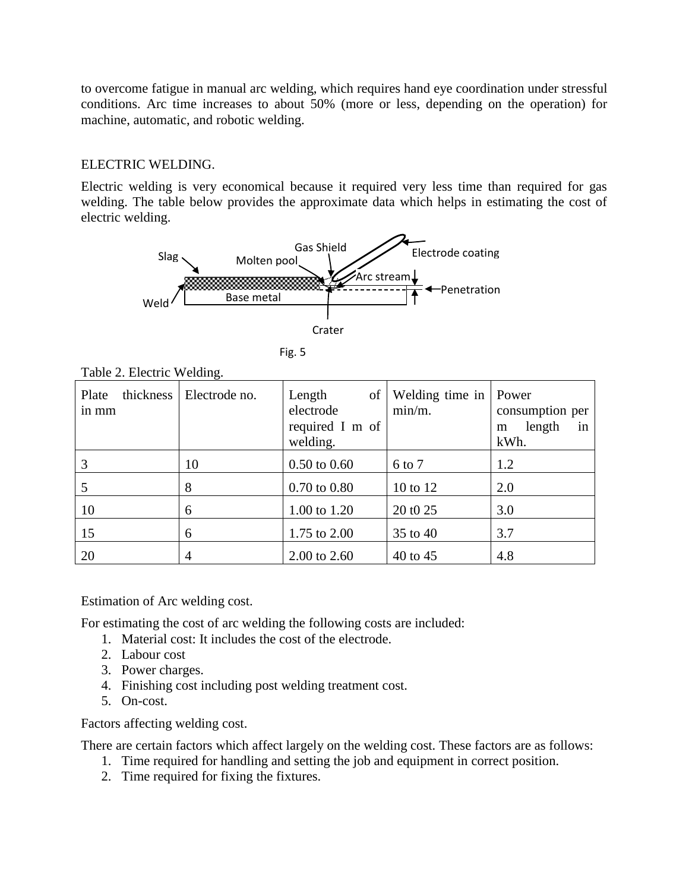to overcome fatigue in manual arc welding, which requires hand eye coordination under stressful conditions. Arc time increases to about 50% (more or less, depending on the operation) for machine, automatic, and robotic welding.

#### ELECTRIC WELDING.

Electric welding is very economical because it required very less time than required for gas welding. The table below provides the approximate data which helps in estimating the cost of electric welding.





| ۰. |
|----|
| ×  |
|    |

| Plate<br>in mm | thickness   Electrode no. | Length<br>of<br>electrode<br>required I m of<br>welding. | Welding time in   Power<br>$min/m$ . | consumption per<br>length<br>in<br>m<br>kWh. |
|----------------|---------------------------|----------------------------------------------------------|--------------------------------------|----------------------------------------------|
| 3              | 10                        | $0.50 \text{ to } 0.60$                                  | 6 to 7                               | 1.2                                          |
|                | 8                         | $0.70 \text{ to } 0.80$                                  | 10 to 12                             | 2.0                                          |
| 10             | 6                         | 1.00 to 1.20                                             | 20 t0 25                             | 3.0                                          |
| 15             | 6                         | 1.75 to 2.00                                             | $35$ to $40$                         | 3.7                                          |
| 20             | 4                         | 2.00 to 2.60                                             | 40 to 45                             | 4.8                                          |

Table 2. Electric Welding.

Estimation of Arc welding cost.

For estimating the cost of arc welding the following costs are included:

- 1. Material cost: It includes the cost of the electrode.
- 2. Labour cost
- 3. Power charges.
- 4. Finishing cost including post welding treatment cost.
- 5. On-cost.

Factors affecting welding cost.

There are certain factors which affect largely on the welding cost. These factors are as follows:

- 1. Time required for handling and setting the job and equipment in correct position.
- 2. Time required for fixing the fixtures.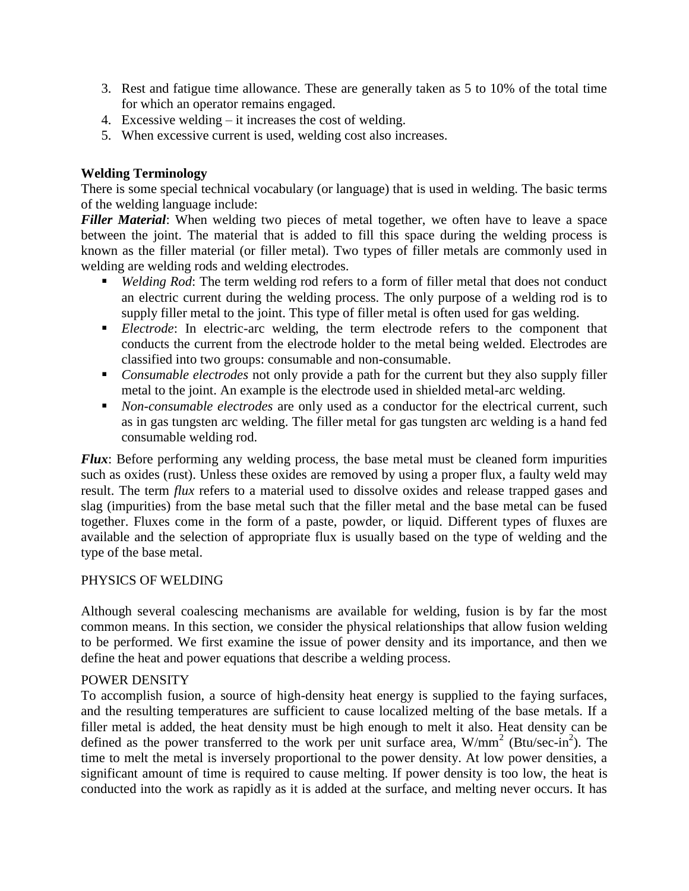- 3. Rest and fatigue time allowance. These are generally taken as 5 to 10% of the total time for which an operator remains engaged.
- 4. Excessive welding it increases the cost of welding.
- 5. When excessive current is used, welding cost also increases.

#### **Welding Terminology**

There is some special technical vocabulary (or language) that is used in welding. The basic terms of the welding language include:

*Filler Material*: When welding two pieces of metal together, we often have to leave a space between the joint. The material that is added to fill this space during the welding process is known as the filler material (or filler metal). Two types of filler metals are commonly used in welding are welding rods and welding electrodes.

- *Welding Rod*: The term welding rod refers to a form of filler metal that does not conduct an electric current during the welding process. The only purpose of a welding rod is to supply filler metal to the joint. This type of filler metal is often used for gas welding.
- **Electrode:** In electric-arc welding, the term electrode refers to the component that conducts the current from the electrode holder to the metal being welded. Electrodes are classified into two groups: consumable and non-consumable.
- *Consumable electrodes* not only provide a path for the current but they also supply filler metal to the joint. An example is the electrode used in shielded metal-arc welding.
- *Non-consumable electrodes* are only used as a conductor for the electrical current, such as in gas tungsten arc welding. The filler metal for gas tungsten arc welding is a hand fed consumable welding rod.

*Flux*: Before performing any welding process, the base metal must be cleaned form impurities such as oxides (rust). Unless these oxides are removed by using a proper flux, a faulty weld may result. The term *flux* refers to a material used to dissolve oxides and release trapped gases and slag (impurities) from the base metal such that the filler metal and the base metal can be fused together. Fluxes come in the form of a paste, powder, or liquid. Different types of fluxes are available and the selection of appropriate flux is usually based on the type of welding and the type of the base metal.

#### PHYSICS OF WELDING

Although several coalescing mechanisms are available for welding, fusion is by far the most common means. In this section, we consider the physical relationships that allow fusion welding to be performed. We first examine the issue of power density and its importance, and then we define the heat and power equations that describe a welding process.

#### POWER DENSITY

To accomplish fusion, a source of high-density heat energy is supplied to the faying surfaces, and the resulting temperatures are sufficient to cause localized melting of the base metals. If a filler metal is added, the heat density must be high enough to melt it also. Heat density can be defined as the power transferred to the work per unit surface area,  $W/mm^2$  (Btu/sec-in<sup>2</sup>). The time to melt the metal is inversely proportional to the power density. At low power densities, a significant amount of time is required to cause melting. If power density is too low, the heat is conducted into the work as rapidly as it is added at the surface, and melting never occurs. It has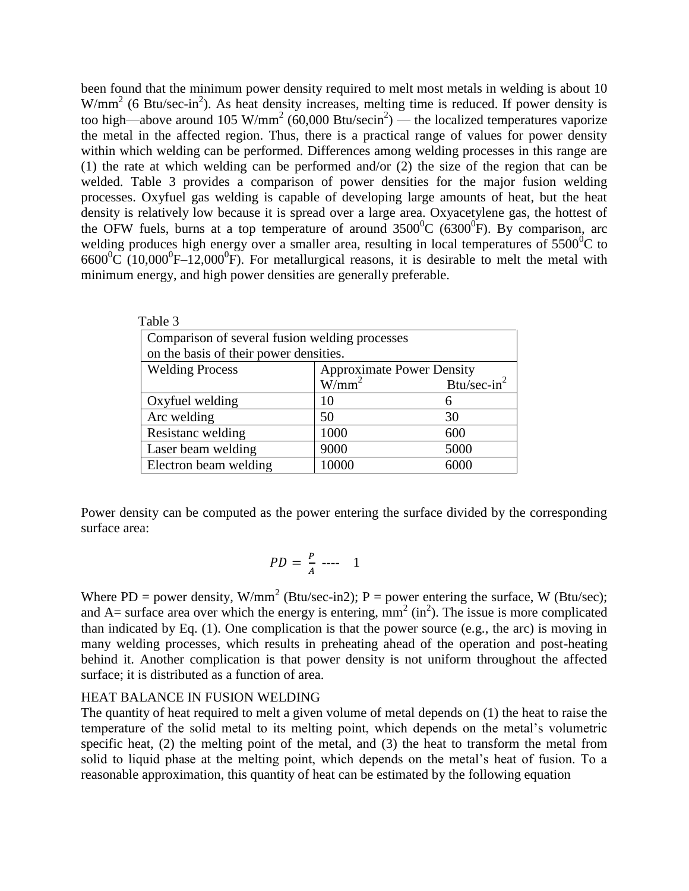been found that the minimum power density required to melt most metals in welding is about 10  $W/mm^2$  (6 Btu/sec-in<sup>2</sup>). As heat density increases, melting time is reduced. If power density is too high—above around 105 W/mm<sup>2</sup> (60,000 Btu/secin<sup>2</sup>) — the localized temperatures vaporize the metal in the affected region. Thus, there is a practical range of values for power density within which welding can be performed. Differences among welding processes in this range are (1) the rate at which welding can be performed and/or (2) the size of the region that can be welded. Table 3 provides a comparison of power densities for the major fusion welding processes. Oxyfuel gas welding is capable of developing large amounts of heat, but the heat density is relatively low because it is spread over a large area. Oxyacetylene gas, the hottest of the OFW fuels, burns at a top temperature of around  $3500^{\circ}$ C (6300<sup>o</sup>F). By comparison, arc welding produces high energy over a smaller area, resulting in local temperatures of  $5500^{\circ}$ C to  $6600^{\circ}$ C (10,000<sup>°</sup>F–12,000<sup>°</sup>F). For metallurgical reasons, it is desirable to melt the metal with minimum energy, and high power densities are generally preferable.

| Table 3                                |                                                |                                  |  |  |  |  |
|----------------------------------------|------------------------------------------------|----------------------------------|--|--|--|--|
|                                        | Comparison of several fusion welding processes |                                  |  |  |  |  |
| on the basis of their power densities. |                                                |                                  |  |  |  |  |
| <b>Welding Process</b>                 |                                                | <b>Approximate Power Density</b> |  |  |  |  |
|                                        | $W/mm^2$                                       | Btu/sec-in $2$                   |  |  |  |  |
| Oxyfuel welding                        | 10                                             | h                                |  |  |  |  |
| Arc welding                            | 50                                             | 30                               |  |  |  |  |
| Resistanc welding                      | 1000                                           | 600                              |  |  |  |  |
| Laser beam welding                     | 9000                                           | 5000                             |  |  |  |  |
| Electron beam welding                  | 10000                                          | 6000                             |  |  |  |  |

Power density can be computed as the power entering the surface divided by the corresponding surface area:

$$
PD = \frac{P}{A} \quad \text{---} \quad 1
$$

Where PD = power density, W/mm<sup>2</sup> (Btu/sec-in2); P = power entering the surface, W (Btu/sec); and A= surface area over which the energy is entering,  $mm^2$  (in<sup>2</sup>). The issue is more complicated than indicated by Eq. (1). One complication is that the power source (e.g., the arc) is moving in many welding processes, which results in preheating ahead of the operation and post-heating behind it. Another complication is that power density is not uniform throughout the affected surface; it is distributed as a function of area.

#### HEAT BALANCE IN FUSION WELDING

The quantity of heat required to melt a given volume of metal depends on (1) the heat to raise the temperature of the solid metal to its melting point, which depends on the metal's volumetric specific heat, (2) the melting point of the metal, and (3) the heat to transform the metal from solid to liquid phase at the melting point, which depends on the metal's heat of fusion. To a reasonable approximation, this quantity of heat can be estimated by the following equation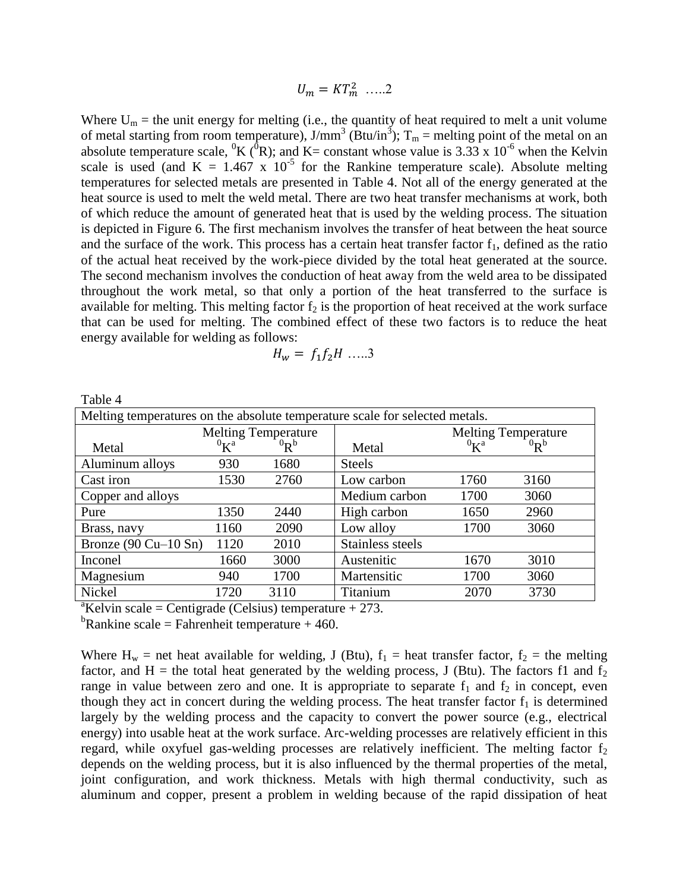$$
U_m = KT_m^2 \ \ldots \ 2
$$

Where  $U_m$  = the unit energy for melting (i.e., the quantity of heat required to melt a unit volume of metal starting from room temperature),  $J/mm^3$  (Btu/in<sup>3</sup>);  $T_m$  = melting point of the metal on an absolute temperature scale, <sup>0</sup>K (<sup>0</sup>R); and K= constant whose value is 3.33 x 10<sup>-6</sup> when the Kelvin scale is used (and K =  $1.467 \times 10^{-5}$  for the Rankine temperature scale). Absolute melting temperatures for selected metals are presented in Table 4. Not all of the energy generated at the heat source is used to melt the weld metal. There are two heat transfer mechanisms at work, both of which reduce the amount of generated heat that is used by the welding process. The situation is depicted in Figure 6. The first mechanism involves the transfer of heat between the heat source and the surface of the work. This process has a certain heat transfer factor  $f_1$ , defined as the ratio of the actual heat received by the work-piece divided by the total heat generated at the source. The second mechanism involves the conduction of heat away from the weld area to be dissipated throughout the work metal, so that only a portion of the heat transferred to the surface is available for melting. This melting factor  $f_2$  is the proportion of heat received at the work surface that can be used for melting. The combined effect of these two factors is to reduce the heat energy available for welding as follows:

$$
H_w = f_1 f_2 H \dots 3
$$

| Table 4                                                                     |                         |             |                  |                            |             |  |
|-----------------------------------------------------------------------------|-------------------------|-------------|------------------|----------------------------|-------------|--|
| Melting temperatures on the absolute temperature scale for selected metals. |                         |             |                  |                            |             |  |
| <b>Melting Temperature</b>                                                  |                         |             |                  | <b>Melting Temperature</b> |             |  |
| Metal                                                                       | ${}^{0}$ K <sup>a</sup> | ${}^{0}R^b$ | Metal            | ${}^{0}$ K <sup>a</sup>    | ${}^{0}R^b$ |  |
| Aluminum alloys                                                             | 930                     | 1680        | <b>Steels</b>    |                            |             |  |
| Cast iron                                                                   | 1530                    | 2760        | Low carbon       | 1760                       | 3160        |  |
| Copper and alloys                                                           |                         |             | Medium carbon    | 1700                       | 3060        |  |
| Pure                                                                        | 1350                    | 2440        | High carbon      | 1650                       | 2960        |  |
| Brass, navy                                                                 | 1160                    | 2090        | Low alloy        | 1700                       | 3060        |  |
| Bronze $(90$ Cu $-10$ Sn)                                                   | 1120                    | 2010        | Stainless steels |                            |             |  |
| Inconel                                                                     | 1660                    | 3000        | Austenitic       | 1670                       | 3010        |  |
| Magnesium                                                                   | 940                     | 1700        | Martensitic      | 1700                       | 3060        |  |
| Nickel                                                                      | 1720                    | 3110        | Titanium         | 2070                       | 3730        |  |

<sup>a</sup>Kelvin scale = Centigrade (Celsius) temperature  $+273$ .

<sup>b</sup>Rankine scale = Fahrenheit temperature + 460.

Where  $H_w$  = net heat available for welding, J (Btu),  $f_1$  = heat transfer factor,  $f_2$  = the melting factor, and H = the total heat generated by the welding process, J (Btu). The factors f1 and  $f_2$ range in value between zero and one. It is appropriate to separate  $f_1$  and  $f_2$  in concept, even though they act in concert during the welding process. The heat transfer factor  $f_1$  is determined largely by the welding process and the capacity to convert the power source (e.g., electrical energy) into usable heat at the work surface. Arc-welding processes are relatively efficient in this regard, while oxyfuel gas-welding processes are relatively inefficient. The melting factor  $f_2$ depends on the welding process, but it is also influenced by the thermal properties of the metal, joint configuration, and work thickness. Metals with high thermal conductivity, such as aluminum and copper, present a problem in welding because of the rapid dissipation of heat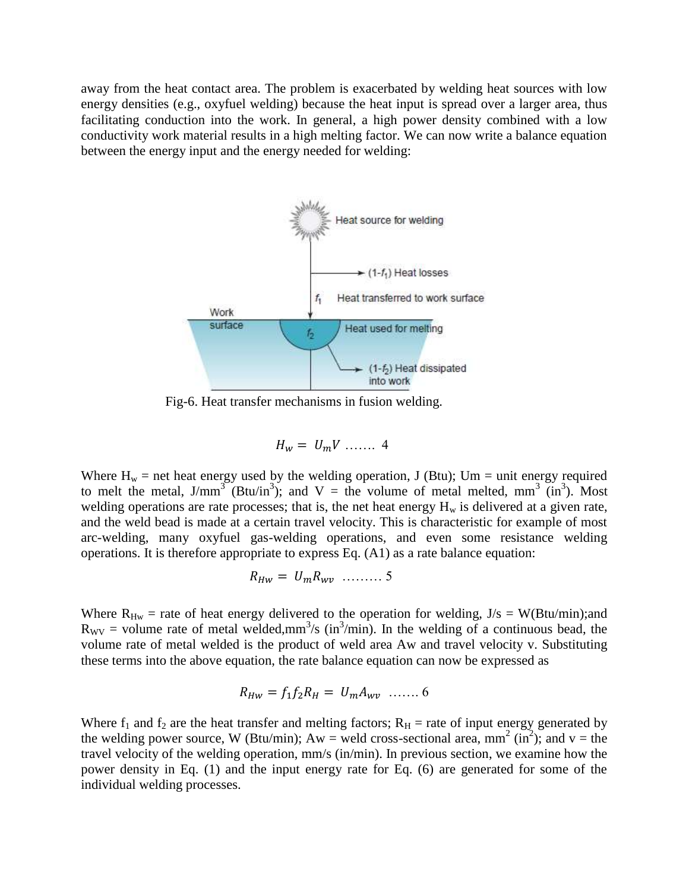away from the heat contact area. The problem is exacerbated by welding heat sources with low energy densities (e.g., oxyfuel welding) because the heat input is spread over a larger area, thus facilitating conduction into the work. In general, a high power density combined with a low conductivity work material results in a high melting factor. We can now write a balance equation between the energy input and the energy needed for welding:



Fig-6. Heat transfer mechanisms in fusion welding.

$$
H_w = U_m V \dots 4
$$

Where  $H_w$  = net heat energy used by the welding operation, J (Btu); Um = unit energy required to melt the metal,  $J/mm^3$  (Btu/in<sup>3</sup>); and V = the volume of metal melted, mm<sup>3</sup> (in<sup>3</sup>). Most welding operations are rate processes; that is, the net heat energy  $H_w$  is delivered at a given rate, and the weld bead is made at a certain travel velocity. This is characteristic for example of most arc-welding, many oxyfuel gas-welding operations, and even some resistance welding operations. It is therefore appropriate to express Eq. (A1) as a rate balance equation:

$$
R_{Hw} = U_m R_{wv} \quad \dots \dots \quad 5
$$

Where  $R_{Hw}$  = rate of heat energy delivered to the operation for welding,  $J/s = W(Btu/min);$ and  $R_{\rm WV}$  = volume rate of metal welded,mm<sup>3</sup>/s (in<sup>3</sup>/min). In the welding of a continuous bead, the volume rate of metal welded is the product of weld area Aw and travel velocity v. Substituting these terms into the above equation, the rate balance equation can now be expressed as

$$
R_{HW} = f_1 f_2 R_H = U_m A_{wv} \ \dots \dots \ 6
$$

Where  $f_1$  and  $f_2$  are the heat transfer and melting factors;  $R_H$  = rate of input energy generated by the welding power source, W (Btu/min);  $Aw =$  weld cross-sectional area, mm<sup>2</sup> (in<sup>2</sup>); and v = the travel velocity of the welding operation, mm/s (in/min). In previous section, we examine how the power density in Eq. (1) and the input energy rate for Eq. (6) are generated for some of the individual welding processes.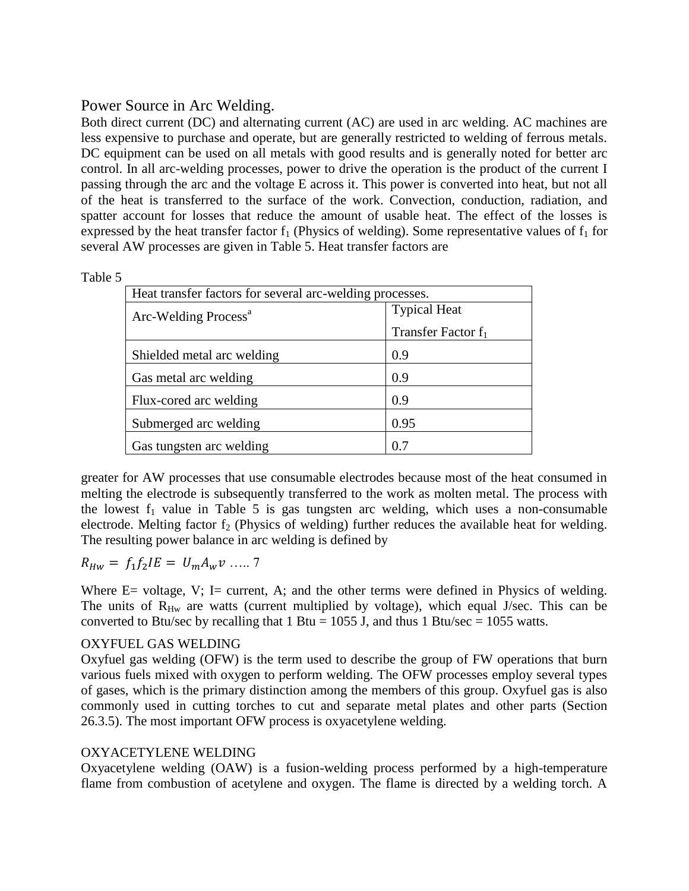# Power Source in Arc Welding.

Both direct current (DC) and alternating current (AC) are used in arc welding. AC machines are less expensive to purchase and operate, but are generally restricted to welding of ferrous metals. DC equipment can be used on all metals with good results and is generally noted for better arc control. In all arc-welding processes, power to drive the operation is the product of the current I passing through the arc and the voltage E across it. This power is converted into heat, but not all of the heat is transferred to the surface of the work. Convection, conduction, radiation, and spatter account for losses that reduce the amount of usable heat. The effect of the losses is expressed by the heat transfer factor  $f_1$  (Physics of welding). Some representative values of  $f_1$  for several AW processes are given in Table 5. Heat transfer factors are

| Heat transfer factors for several arc-welding processes. |                       |  |  |
|----------------------------------------------------------|-----------------------|--|--|
| Arc-Welding Process <sup>a</sup>                         | <b>Typical Heat</b>   |  |  |
|                                                          | Transfer Factor $f_1$ |  |  |
| Shielded metal arc welding                               | 0.9                   |  |  |
| Gas metal arc welding                                    | 0.9                   |  |  |
| Flux-cored arc welding                                   | 0.9                   |  |  |
| Submerged arc welding                                    | 0.95                  |  |  |
| Gas tungsten arc welding                                 | 07                    |  |  |

greater for AW processes that use consumable electrodes because most of the heat consumed in melting the electrode is subsequently transferred to the work as molten metal. The process with the lowest  $f_1$  value in Table 5 is gas tungsten arc welding, which uses a non-consumable electrode. Melting factor  $f_2$  (Physics of welding) further reduces the available heat for welding. The resulting power balance in arc welding is defined by

$$
R_{Hw} = f_1 f_2 I E = U_m A_w v \dots 7
$$

Where  $E=$  voltage,  $V$ ;  $I=$  current,  $A$ ; and the other terms were defined in Physics of welding. The units of  $R_{\text{Hw}}$  are watts (current multiplied by voltage), which equal J/sec. This can be converted to Btu/sec by recalling that  $1 \text{ Btu} = 1055 \text{ J}$ , and thus  $1 \text{ Btu/sec} = 1055 \text{ watts}$ .

## OXYFUEL GAS WELDING

Oxyfuel gas welding (OFW) is the term used to describe the group of FW operations that burn various fuels mixed with oxygen to perform welding. The OFW processes employ several types of gases, which is the primary distinction among the members of this group. Oxyfuel gas is also commonly used in cutting torches to cut and separate metal plates and other parts (Section 26.3.5). The most important OFW process is oxyacetylene welding.

## OXYACETYLENE WELDING

Oxyacetylene welding (OAW) is a fusion-welding process performed by a high-temperature flame from combustion of acetylene and oxygen. The flame is directed by a welding torch. A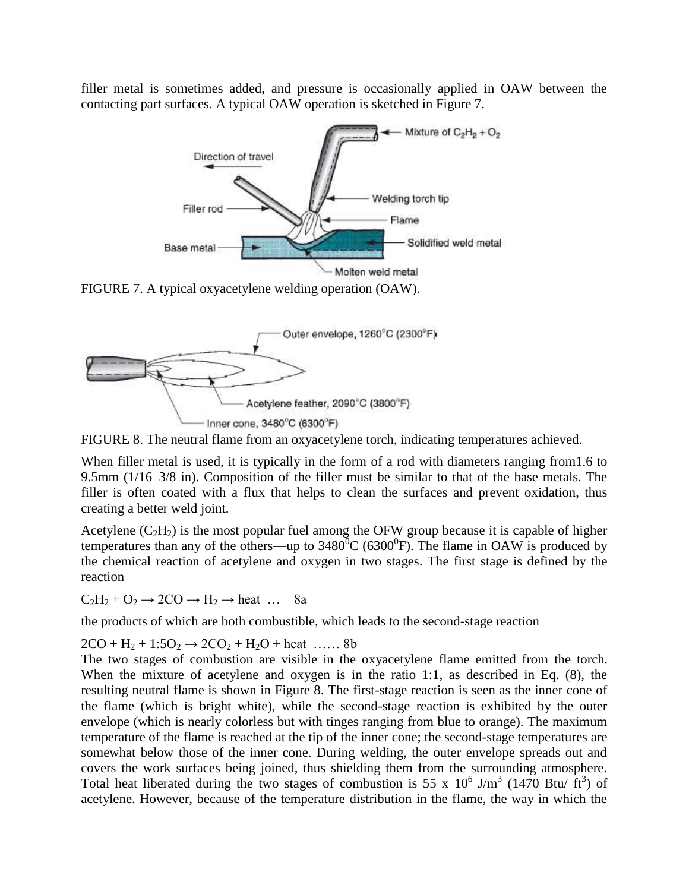filler metal is sometimes added, and pressure is occasionally applied in OAW between the contacting part surfaces. A typical OAW operation is sketched in Figure 7.



FIGURE 7. A typical oxyacetylene welding operation (OAW).



FIGURE 8. The neutral flame from an oxyacetylene torch, indicating temperatures achieved.

When filler metal is used, it is typically in the form of a rod with diameters ranging from1.6 to 9.5mm (1/16–3/8 in). Composition of the filler must be similar to that of the base metals. The filler is often coated with a flux that helps to clean the surfaces and prevent oxidation, thus creating a better weld joint.

Acetylene  $(C_2H_2)$  is the most popular fuel among the OFW group because it is capable of higher temperatures than any of the others—up to  $3480^{\circ}$ C (6300<sup>°</sup>F). The flame in OAW is produced by the chemical reaction of acetylene and oxygen in two stages. The first stage is defined by the reaction

 $C_2H_2 + O_2 \rightarrow 2CO \rightarrow H_2 \rightarrow heat$  ... 8a

the products of which are both combustible, which leads to the second-stage reaction

 $2CO + H_2 + 1:5O_2 \rightarrow 2CO_2 + H_2O + heat$  …… 8b

The two stages of combustion are visible in the oxyacetylene flame emitted from the torch. When the mixture of acetylene and oxygen is in the ratio 1:1, as described in Eq. (8), the resulting neutral flame is shown in Figure 8. The first-stage reaction is seen as the inner cone of the flame (which is bright white), while the second-stage reaction is exhibited by the outer envelope (which is nearly colorless but with tinges ranging from blue to orange). The maximum temperature of the flame is reached at the tip of the inner cone; the second-stage temperatures are somewhat below those of the inner cone. During welding, the outer envelope spreads out and covers the work surfaces being joined, thus shielding them from the surrounding atmosphere. Total heat liberated during the two stages of combustion is 55 x  $10^6$  J/m<sup>3</sup> (1470 Btu/ ft<sup>3</sup>) of acetylene. However, because of the temperature distribution in the flame, the way in which the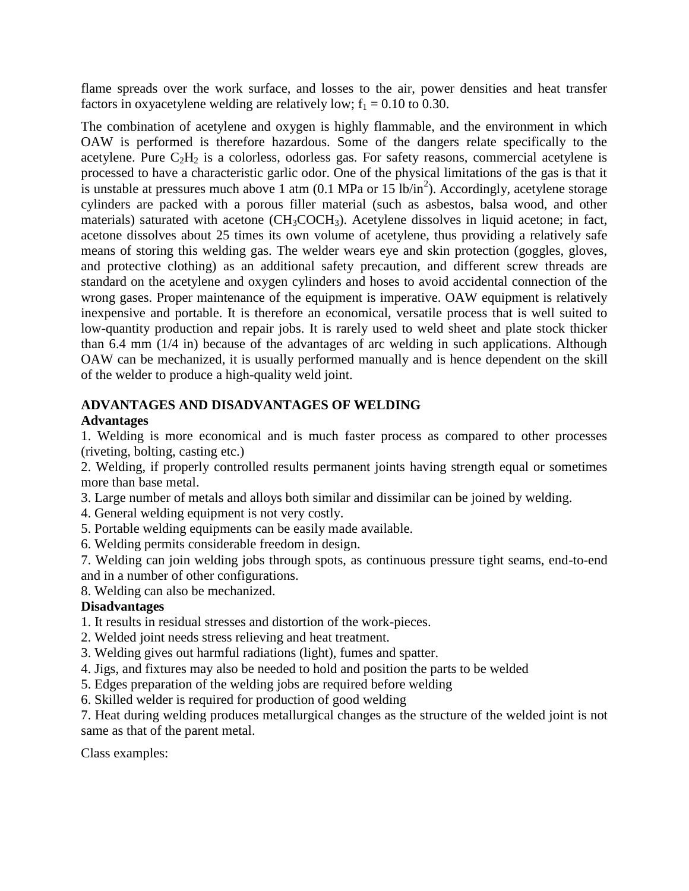flame spreads over the work surface, and losses to the air, power densities and heat transfer factors in oxyacetylene welding are relatively low;  $f_1 = 0.10$  to 0.30.

The combination of acetylene and oxygen is highly flammable, and the environment in which OAW is performed is therefore hazardous. Some of the dangers relate specifically to the acetylene. Pure  $C_2H_2$  is a colorless, odorless gas. For safety reasons, commercial acetylene is processed to have a characteristic garlic odor. One of the physical limitations of the gas is that it is unstable at pressures much above 1 atm  $(0.1 \text{ MPa or } 15 \text{ lb/in}^2)$ . Accordingly, acetylene storage cylinders are packed with a porous filler material (such as asbestos, balsa wood, and other materials) saturated with acetone  $(CH_3COCH_3)$ . Acetylene dissolves in liquid acetone; in fact, acetone dissolves about 25 times its own volume of acetylene, thus providing a relatively safe means of storing this welding gas. The welder wears eye and skin protection (goggles, gloves, and protective clothing) as an additional safety precaution, and different screw threads are standard on the acetylene and oxygen cylinders and hoses to avoid accidental connection of the wrong gases. Proper maintenance of the equipment is imperative. OAW equipment is relatively inexpensive and portable. It is therefore an economical, versatile process that is well suited to low-quantity production and repair jobs. It is rarely used to weld sheet and plate stock thicker than 6.4 mm (1/4 in) because of the advantages of arc welding in such applications. Although OAW can be mechanized, it is usually performed manually and is hence dependent on the skill of the welder to produce a high-quality weld joint.

#### **ADVANTAGES AND DISADVANTAGES OF WELDING Advantages**

1. Welding is more economical and is much faster process as compared to other processes (riveting, bolting, casting etc.)

2. Welding, if properly controlled results permanent joints having strength equal or sometimes more than base metal.

3. Large number of metals and alloys both similar and dissimilar can be joined by welding.

4. General welding equipment is not very costly.

- 5. Portable welding equipments can be easily made available.
- 6. Welding permits considerable freedom in design.

7. Welding can join welding jobs through spots, as continuous pressure tight seams, end-to-end and in a number of other configurations.

8. Welding can also be mechanized.

# **Disadvantages**

- 1. It results in residual stresses and distortion of the work-pieces.
- 2. Welded joint needs stress relieving and heat treatment.
- 3. Welding gives out harmful radiations (light), fumes and spatter.
- 4. Jigs, and fixtures may also be needed to hold and position the parts to be welded
- 5. Edges preparation of the welding jobs are required before welding
- 6. Skilled welder is required for production of good welding

7. Heat during welding produces metallurgical changes as the structure of the welded joint is not same as that of the parent metal.

Class examples: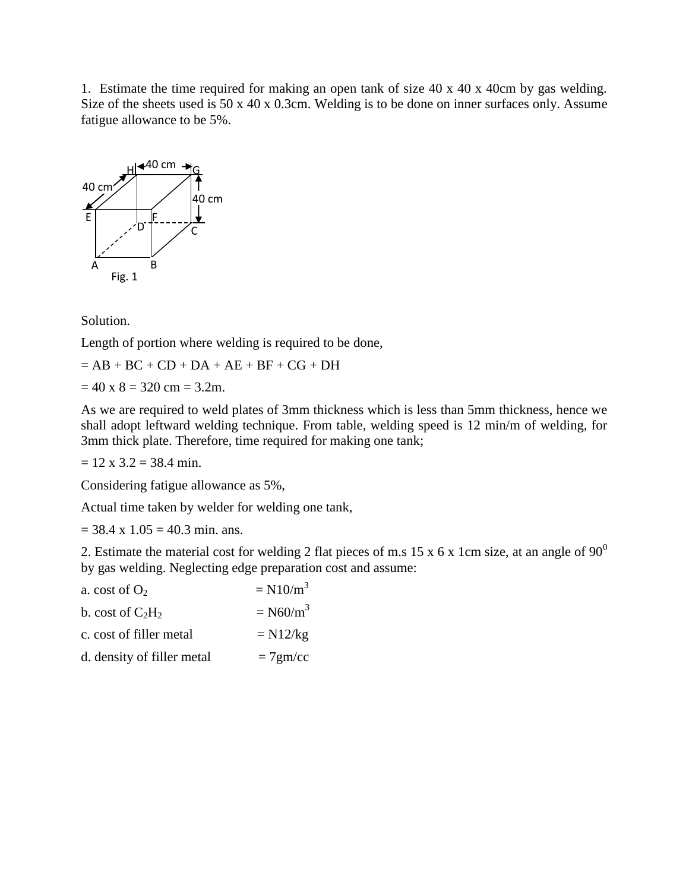1. Estimate the time required for making an open tank of size 40 x 40 x 40cm by gas welding. Size of the sheets used is 50 x 40 x 0.3cm. Welding is to be done on inner surfaces only. Assume fatigue allowance to be 5%.



Solution.

Length of portion where welding is required to be done,

 $= AB + BC + CD + DA + AE + BF + CG + DH$ 

 $= 40 \times 8 = 320 \text{ cm} = 3.2 \text{m}.$ 

As we are required to weld plates of 3mm thickness which is less than 5mm thickness, hence we shall adopt leftward welding technique. From table, welding speed is 12 min/m of welding, for 3mm thick plate. Therefore, time required for making one tank;

 $= 12$  x 3.2 = 38.4 min.

Considering fatigue allowance as 5%,

Actual time taken by welder for welding one tank,

 $= 38.4 \times 1.05 = 40.3 \text{ min.}$  ans.

2. Estimate the material cost for welding 2 flat pieces of m.s 15 x 6 x 1cm size, at an angle of  $90^0$ by gas welding. Neglecting edge preparation cost and assume:

| $= N10/m3$             |
|------------------------|
| $=$ N60/m <sup>3</sup> |
| $= N12/kg$             |
| $=7$ gm/cc             |
|                        |